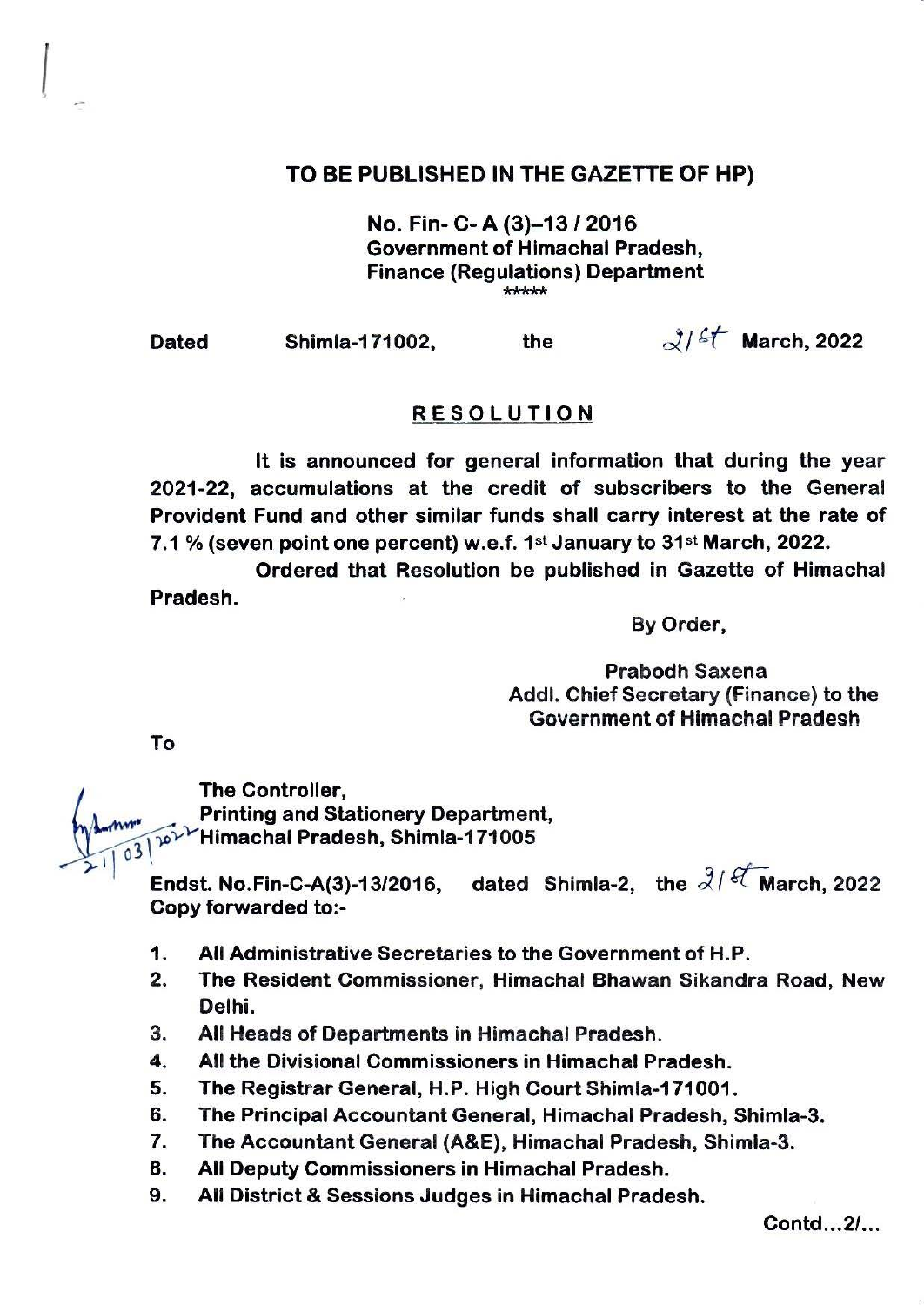## TO BE PUBLISHED IN THE GAZETTE OF HP)

No. Fin- C- A (3)-1312016 Government of Himachal Pradesh, Finance (Regulations) Department \*\*\*\*\*

I

Dated Shimla-171002, the  $\frac{3}{5}$  March, 2022

## RESOLUTION

It is announced for general information that during the year 2021-22, accumulations at the credit of subscribers to the General Provident Fund and other similar funds shall carry interest at the rate of 7.1 % (seven point one percent) w.e.f.  $1^{st}$  January to  $31^{st}$  March, 2022.

Ordered that Resolution be published in Gazette of Himachal Pradesh.

By Order,

Prabodh Saxena Addl. Chief Secretary (Finance) to the Government of Himachal Pradesh

To

The Controller, Printing and Stationery Department,  $\gamma_1\psi^{\gamma}$ YHimachal Pradesh, Shimla-171005  $210.$ 

Endst. No.Fin-C-A(3)-13/2016, dated Shimla-2, the  $3/$ <sup>et</sup> March, 2022 Copy forwarded to:-

- 1. All Administrative Secretaries to the Government of H.P.
- 2. The Resident Commissioner, Himachal Bhawan Sikandra Road, New Delhi.
- 3. All Heads of Departments in Himachal Pradesh.
- 4. All the Divisional Commissioners in Himachal Pradesh.
- 5. The Registrar General, H.P. High Court Shimla-171001.
- 6. The Principal Accountant General, Himachal Pradesh, Shimla-3.
- 7. The Accountant General (A&E), Himachal Pradesh, Shimla-3.
- 8. All Deputy Commissioners in Himachal Pradesh.
- 9. All District & Sessions Judges in Himachal Pradesh.

Contd ... 2/...